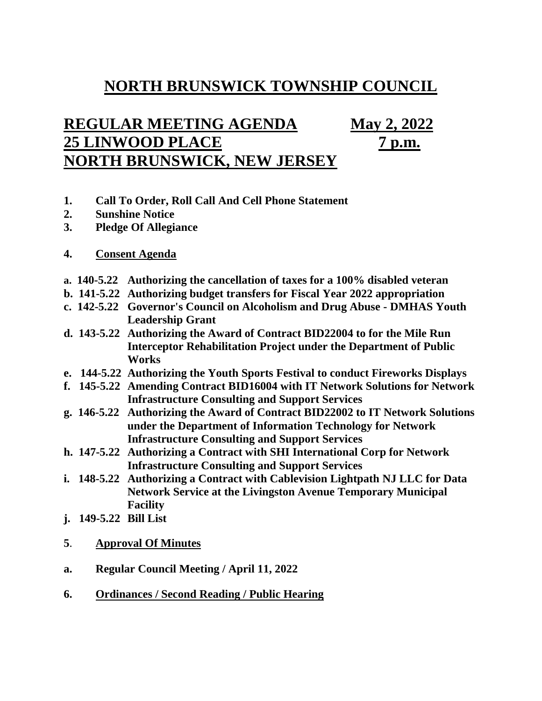## **NORTH BRUNSWICK TOWNSHIP COUNCIL**

## **REGULAR MEETING AGENDA May 2, 2022 25 LINWOOD PLACE 7 p.m. NORTH BRUNSWICK, NEW JERSEY**

- **1. Call To Order, Roll Call And Cell Phone Statement**
- **2. Sunshine Notice**
- **3. Pledge Of Allegiance**
- **4. Consent Agenda**
- **a. 140-5.22 Authorizing the cancellation of taxes for a 100% disabled veteran**
- **b. 141-5.22 Authorizing budget transfers for Fiscal Year 2022 appropriation**
- **c. 142-5.22 Governor's Council on Alcoholism and Drug Abuse - DMHAS Youth Leadership Grant**
- **d. 143-5.22 Authorizing the Award of Contract BID22004 to for the Mile Run Interceptor Rehabilitation Project under the Department of Public Works**
- **e. 144-5.22 Authorizing the Youth Sports Festival to conduct Fireworks Displays**
- **f. 145-5.22 Amending Contract BID16004 with IT Network Solutions for Network Infrastructure Consulting and Support Services**
- **g. 146-5.22 Authorizing the Award of Contract BID22002 to IT Network Solutions under the Department of Information Technology for Network Infrastructure Consulting and Support Services**
- **h. 147-5.22 Authorizing a Contract with SHI International Corp for Network Infrastructure Consulting and Support Services**
- **i. 148-5.22 Authorizing a Contract with Cablevision Lightpath NJ LLC for Data Network Service at the Livingston Avenue Temporary Municipal Facility**
- **j. 149-5.22 Bill List**
- **5**. **Approval Of Minutes**
- **a. Regular Council Meeting / April 11, 2022**
- **6. Ordinances / Second Reading / Public Hearing**